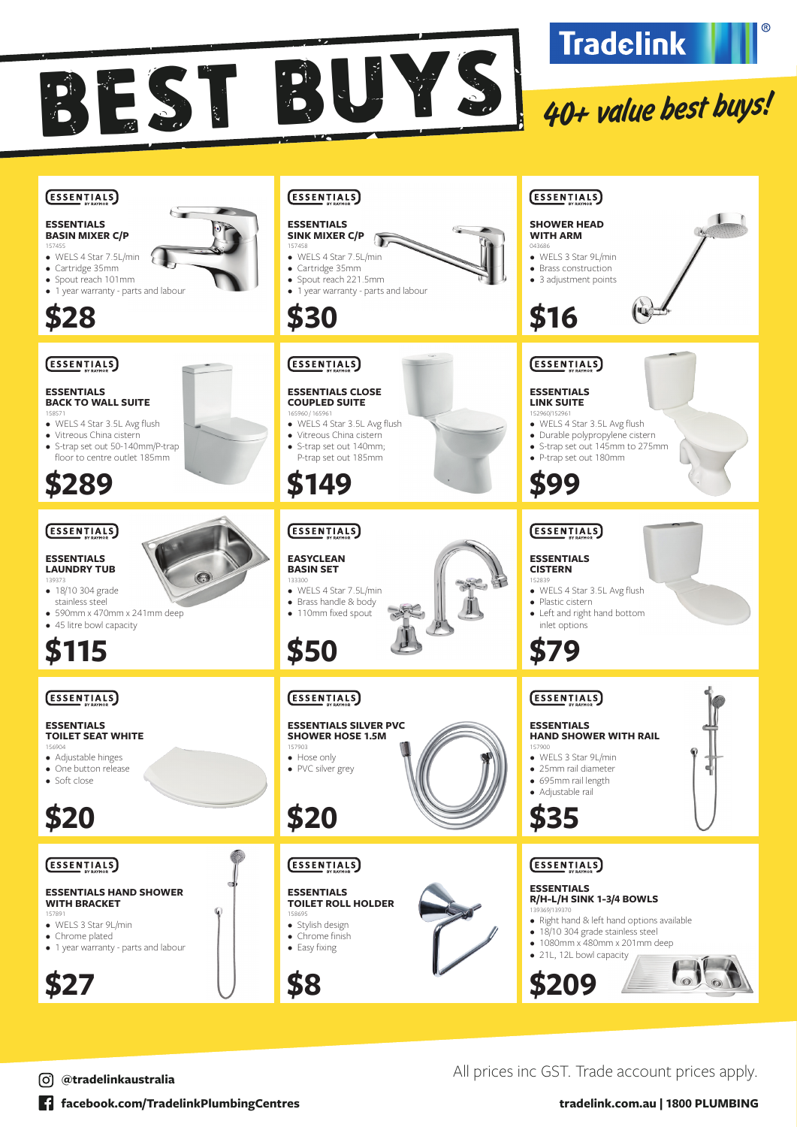







**facebook.com/TradelinkPlumbingCentres tradelink.com.au | 1800 PLUMBING**

All prices inc GST. Trade account prices apply. **@tradelinkaustralia**